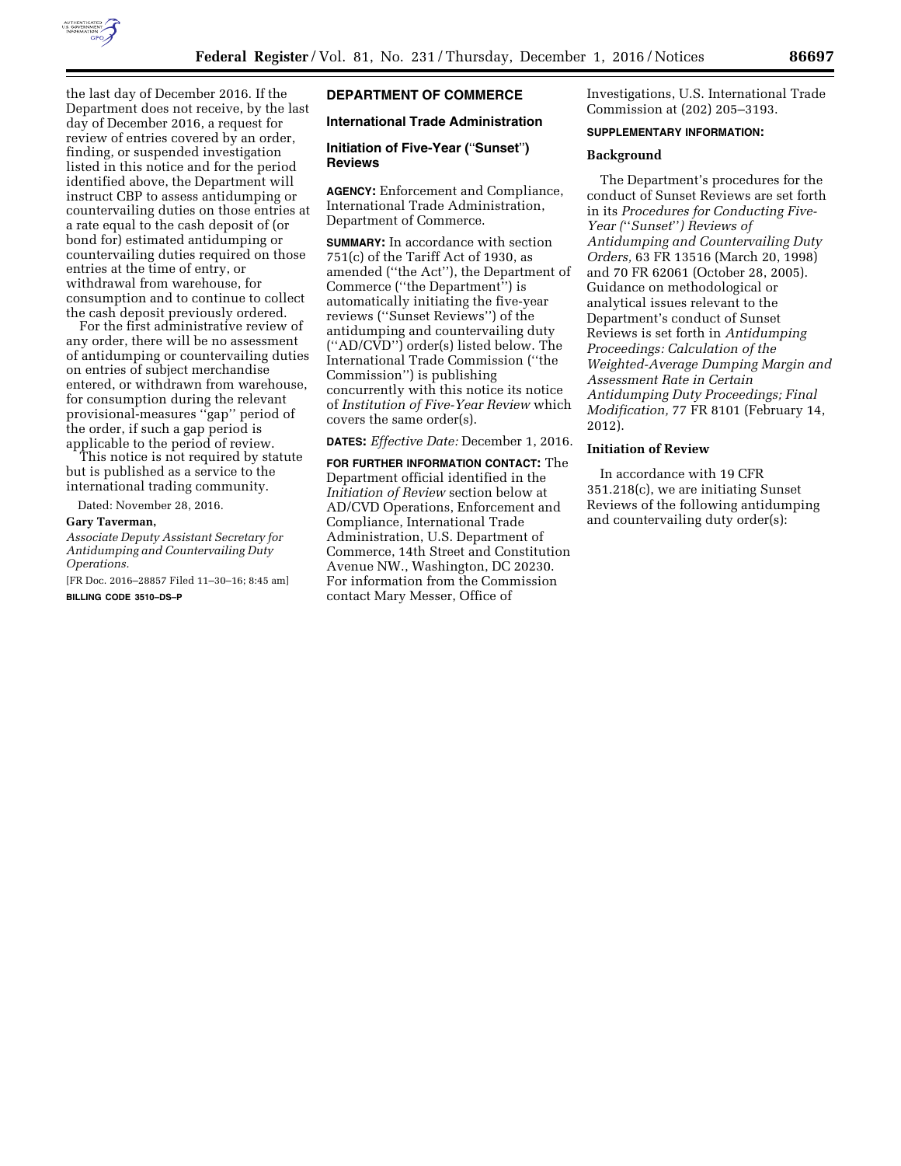

the last day of December 2016. If the Department does not receive, by the last day of December 2016, a request for review of entries covered by an order, finding, or suspended investigation listed in this notice and for the period identified above, the Department will instruct CBP to assess antidumping or countervailing duties on those entries at a rate equal to the cash deposit of (or bond for) estimated antidumping or countervailing duties required on those entries at the time of entry, or withdrawal from warehouse, for consumption and to continue to collect the cash deposit previously ordered.

For the first administrative review of any order, there will be no assessment of antidumping or countervailing duties on entries of subject merchandise entered, or withdrawn from warehouse, for consumption during the relevant provisional-measures ''gap'' period of the order, if such a gap period is applicable to the period of review.

This notice is not required by statute but is published as a service to the international trading community.

Dated: November 28, 2016.

### **Gary Taverman,**

*Associate Deputy Assistant Secretary for Antidumping and Countervailing Duty Operations.* 

[FR Doc. 2016–28857 Filed 11–30–16; 8:45 am] **BILLING CODE 3510–DS–P** 

# **DEPARTMENT OF COMMERCE**

# **International Trade Administration**

### **Initiation of Five-Year (**''**Sunset**''**) Reviews**

**AGENCY:** Enforcement and Compliance, International Trade Administration, Department of Commerce.

**SUMMARY:** In accordance with section 751(c) of the Tariff Act of 1930, as amended (''the Act''), the Department of Commerce (''the Department'') is automatically initiating the five-year reviews (''Sunset Reviews'') of the antidumping and countervailing duty (''AD/CVD'') order(s) listed below. The International Trade Commission (''the Commission'') is publishing concurrently with this notice its notice of *Institution of Five-Year Review* which covers the same order(s).

**DATES:** *Effective Date:* December 1, 2016.

**FOR FURTHER INFORMATION CONTACT:** The Department official identified in the *Initiation of Review* section below at AD/CVD Operations, Enforcement and Compliance, International Trade Administration, U.S. Department of Commerce, 14th Street and Constitution Avenue NW., Washington, DC 20230. For information from the Commission contact Mary Messer, Office of

Investigations, U.S. International Trade Commission at (202) 205–3193.

#### **SUPPLEMENTARY INFORMATION:**

#### **Background**

The Department's procedures for the conduct of Sunset Reviews are set forth in its *Procedures for Conducting Five-Year (*''*Sunset*''*) Reviews of Antidumping and Countervailing Duty Orders,* 63 FR 13516 (March 20, 1998) and 70 FR 62061 (October 28, 2005). Guidance on methodological or analytical issues relevant to the Department's conduct of Sunset Reviews is set forth in *Antidumping Proceedings: Calculation of the Weighted-Average Dumping Margin and Assessment Rate in Certain Antidumping Duty Proceedings; Final Modification,* 77 FR 8101 (February 14, 2012).

## **Initiation of Review**

In accordance with 19 CFR 351.218(c), we are initiating Sunset Reviews of the following antidumping and countervailing duty order(s):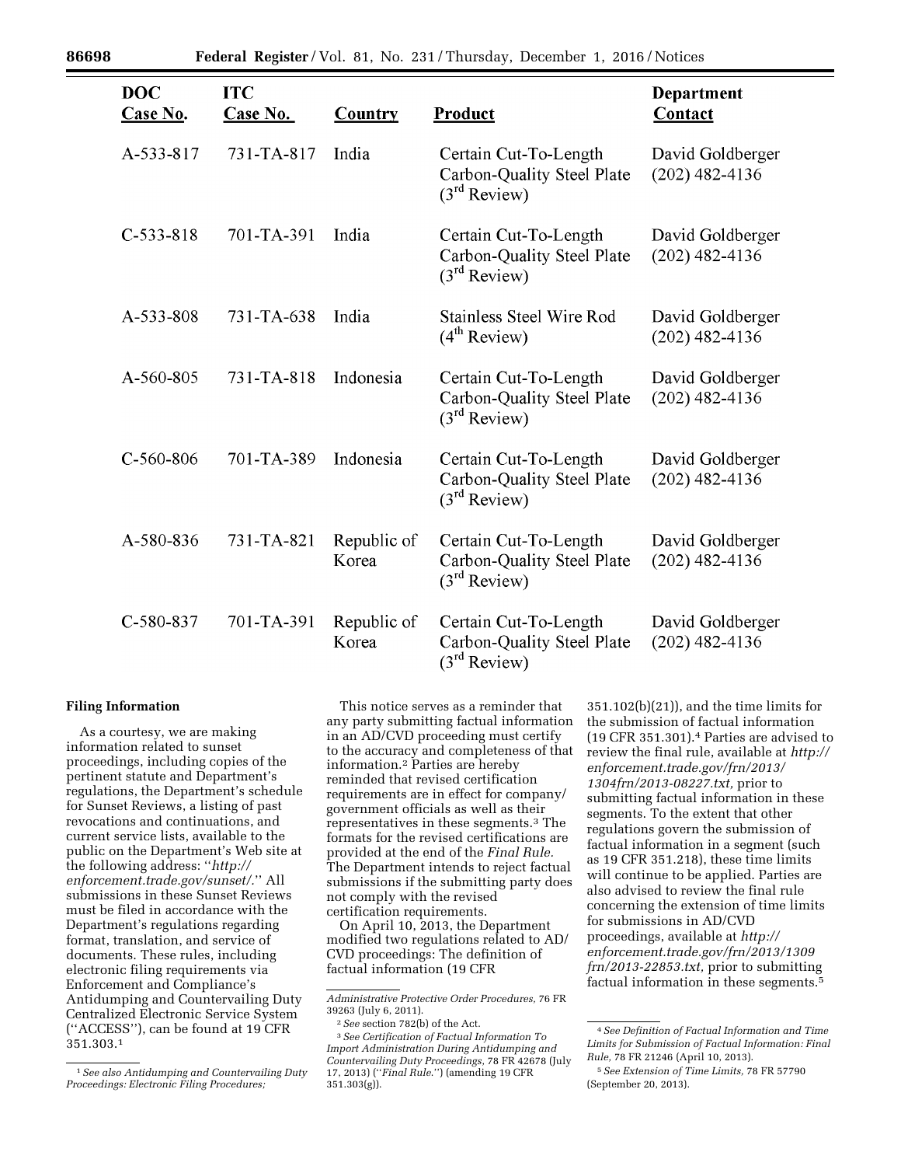| <b>DOC</b><br>Case No. | <b>ITC</b><br><b>Case No.</b> | <b>Country</b>       | Product                                                                         | Department<br>Contact                |
|------------------------|-------------------------------|----------------------|---------------------------------------------------------------------------------|--------------------------------------|
| A-533-817              | 731-TA-817                    | India                | Certain Cut-To-Length<br>Carbon-Quality Steel Plate<br>$(3rd$ Review)           | David Goldberger<br>$(202)$ 482-4136 |
| $C-533-818$            | 701-TA-391                    | India                | Certain Cut-To-Length<br>Carbon-Quality Steel Plate<br>(3 <sup>rd</sup> Review) | David Goldberger<br>$(202)$ 482-4136 |
| A-533-808              | 731-TA-638                    | India                | <b>Stainless Steel Wire Rod</b><br>(4 <sup>th</sup> Review)                     | David Goldberger<br>$(202)$ 482-4136 |
| A-560-805              | 731-TA-818                    | Indonesia            | Certain Cut-To-Length<br>Carbon-Quality Steel Plate<br>$(3rd$ Review)           | David Goldberger<br>$(202)$ 482-4136 |
| $C-560-806$            | 701-TA-389                    | Indonesia            | Certain Cut-To-Length<br>Carbon-Quality Steel Plate<br>(3 <sup>rd</sup> Review) | David Goldberger<br>$(202)$ 482-4136 |
| A-580-836              | 731-TA-821                    | Republic of<br>Korea | Certain Cut-To-Length<br>Carbon-Quality Steel Plate<br>(3 <sup>rd</sup> Review) | David Goldberger<br>$(202)$ 482-4136 |
| C-580-837              | 701-TA-391                    | Republic of<br>Korea | Certain Cut-To-Length<br>Carbon-Quality Steel Plate<br>$(3rd$ Review)           | David Goldberger<br>$(202)$ 482-4136 |

#### **Filing Information**

As a courtesy, we are making information related to sunset proceedings, including copies of the pertinent statute and Department's regulations, the Department's schedule for Sunset Reviews, a listing of past revocations and continuations, and current service lists, available to the public on the Department's Web site at the following address: ''*[http://](http://enforcement.trade.gov/sunset/) [enforcement.trade.gov/sunset/.](http://enforcement.trade.gov/sunset/)*'' All submissions in these Sunset Reviews must be filed in accordance with the Department's regulations regarding format, translation, and service of documents. These rules, including electronic filing requirements via Enforcement and Compliance's Antidumping and Countervailing Duty Centralized Electronic Service System (''ACCESS''), can be found at 19 CFR 351.303.1

This notice serves as a reminder that any party submitting factual information in an AD/CVD proceeding must certify to the accuracy and completeness of that information.2 Parties are hereby reminded that revised certification requirements are in effect for company/ government officials as well as their representatives in these segments.3 The formats for the revised certifications are provided at the end of the *Final Rule.*  The Department intends to reject factual submissions if the submitting party does not comply with the revised certification requirements.

On April 10, 2013, the Department modified two regulations related to AD/ CVD proceedings: The definition of factual information (19 CFR

3*See Certification of Factual Information To Import Administration During Antidumping and Countervailing Duty Proceedings,* 78 FR 42678 (July 17, 2013) (''*Final Rule*.'') (amending 19 CFR 351.303(g)).

351.102(b)(21)), and the time limits for the submission of factual information (19 CFR 351.301).4 Parties are advised to review the final rule, available at *[http://](http://enforcement.trade.gov/frn/2013/1304frn/2013-08227.txt)  [enforcement.trade.gov/frn/2013/](http://enforcement.trade.gov/frn/2013/1304frn/2013-08227.txt)  [1304frn/2013-08227.txt,](http://enforcement.trade.gov/frn/2013/1304frn/2013-08227.txt)* prior to submitting factual information in these segments. To the extent that other regulations govern the submission of factual information in a segment (such as 19 CFR 351.218), these time limits will continue to be applied. Parties are also advised to review the final rule concerning the extension of time limits for submissions in AD/CVD proceedings, available at *[http://](http://enforcement.trade.gov/frn/2013/1309frn/2013-22853.txt)  [enforcement.trade.gov/frn/2013/1309](http://enforcement.trade.gov/frn/2013/1309frn/2013-22853.txt) [frn/2013-22853.txt,](http://enforcement.trade.gov/frn/2013/1309frn/2013-22853.txt)* prior to submitting factual information in these segments.5

<sup>1</sup>*See also Antidumping and Countervailing Duty Proceedings: Electronic Filing Procedures;* 

*Administrative Protective Order Procedures,* 76 FR 39263 (July 6, 2011).

<sup>2</sup>*See* section 782(b) of the Act.

<sup>4</sup>*See Definition of Factual Information and Time Limits for Submission of Factual Information: Final Rule,* 78 FR 21246 (April 10, 2013).

<sup>5</sup>*See Extension of Time Limits,* 78 FR 57790 (September 20, 2013).